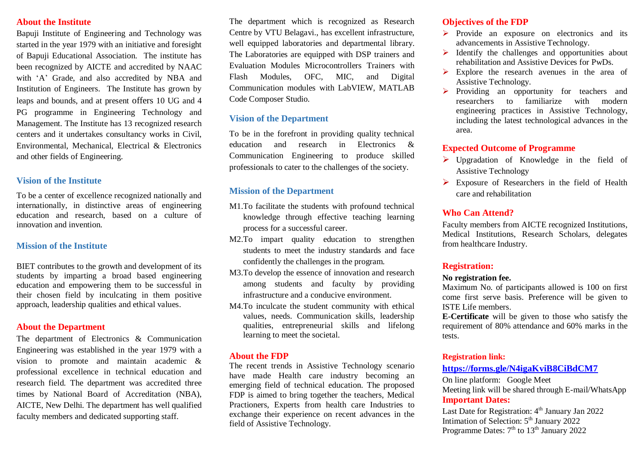#### **About the Institute**

Bapuji Institute of Engineering and Technology was started in the year 1979 with an initiative and foresight of Bapuji Educational Association. The institute has been recognized by AICTE and accredited by NAAC with 'A' Grade, and also accredited by NBA and Institution of Engineers. The Institute has grown by leaps and bounds, and at present offers 10 UG and 4 PG programme in Engineering Technology and Management. The Institute has 13 recognized research centers and it undertakes consultancy works in Civil, Environmental, Mechanical, Electrical & Electronics and other fields of Engineering.

## **Vision of the Institute**

To be a center of excellence recognized nationally and internationally, in distinctive areas of engineering education and research, based on a culture of innovation and invention.

## **Mission of the Institute**

BIET contributes to the growth and development of its students by imparting a broad based engineering education and empowering them to be successful in their chosen field by inculcating in them positive approach, leadership qualities and ethical values.

### **About the Department**

The department of Electronics & Communication Engineering was established in the year 1979 with a vision to promote and maintain academic & professional excellence in technical education and research field. The department was accredited three times by National Board of Accreditation (NBA), AICTE, New Delhi. The department has well qualified faculty members and dedicated supporting staff.

The department which is recognized as Research Centre by VTU Belagavi., has excellent infrastructure, well equipped laboratories and departmental library. The Laboratories are equipped with DSP trainers and Evaluation Modules Microcontrollers Trainers with Flash Modules, OFC, MIC, and Digital Communication modules with LabVIEW, MATLAB Code Composer Studio.

# **Vision of the Department**

To be in the forefront in providing quality technical education and research in Electronics & Communication Engineering to produce skilled professionals to cater to the challenges of the society.

## **Mission of the Department**

- M1.To facilitate the students with profound technical knowledge through effective teaching learning process for a successful career.
- M2.To impart quality education to strengthen students to meet the industry standards and face confidently the challenges in the program.
- M3.To develop the essence of innovation and research among students and faculty by providing infrastructure and a conducive environment.
- M4.To inculcate the student community with ethical values, needs. Communication skills, leadership qualities, entrepreneurial skills and lifelong learning to meet the societal.

### **About the FDP**

The recent trends in Assistive Technology scenario have made Health care industry becoming an emerging field of technical education. The proposed FDP is aimed to bring together the teachers, Medical Practioners, Experts from health care Industries to exchange their experience on recent advances in the field of Assistive Technology.

## **Objectives of the FDP**

- $\triangleright$  Provide an exposure on electronics and its advancements in Assistive Technology.
- $\triangleright$  Identify the challenges and opportunities about rehabilitation and Assistive Devices for PwDs.
- $\triangleright$  Explore the research avenues in the area of Assistive Technology.
- $\triangleright$  Providing an opportunity for teachers and researchers to familiarize with modern engineering practices in Assistive Technology, including the latest technological advances in the area.

# **Expected Outcome of Programme**

- $\triangleright$  Upgradation of Knowledge in the field of Assistive Technology
- $\triangleright$  Exposure of Researchers in the field of Health care and rehabilitation

## **Who Can Attend?**

Faculty members from AICTE recognized Institutions, Medical Institutions, Research Scholars, delegates from healthcare Industry.

# **Registration:**

#### **No registration fee.**

Maximum No. of participants allowed is 100 on first come first serve basis. Preference will be given to ISTE Life members.

**E-Certificate** will be given to those who satisfy the requirement of 80% attendance and 60% marks in the tests.

#### **Registration link:**

## **<https://forms.gle/N4igaKviB8CiBdCM7>**

On line platform: Google Meet Meeting link will be shared through E-mail/WhatsApp **Important Dates:**

Last Date for Registration:  $4<sup>th</sup>$  January Jan 2022 Intimation of Selection: 5<sup>th</sup> January 2022 Programme Dates:  $7<sup>th</sup>$  to  $13<sup>th</sup>$  January 2022